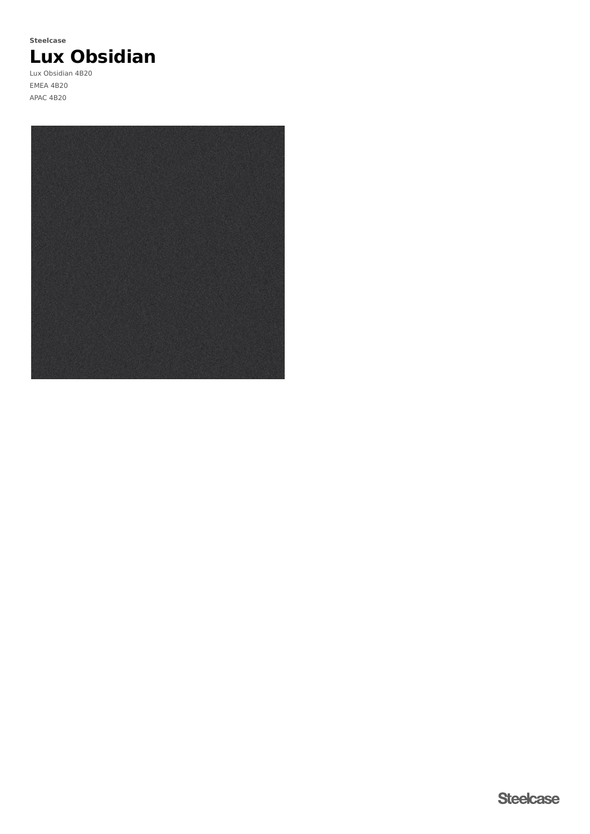

Lux Obsidian 4B20 EMEA 4B20 APAC 4B20

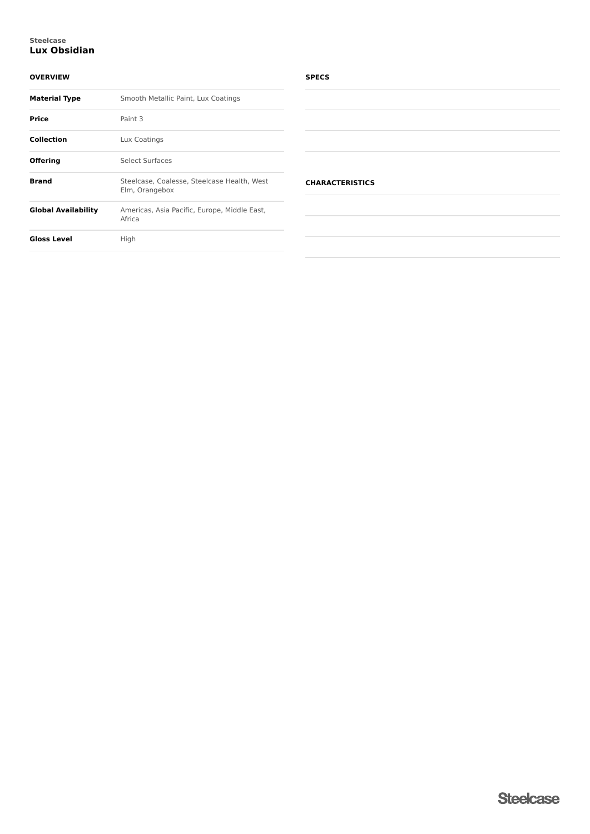# **Lux Obsidian Steelcase**

# **OVERVIEW**

| <b>Material Type</b>       | Smooth Metallic Paint, Lux Coatings                           |
|----------------------------|---------------------------------------------------------------|
| <b>Price</b>               | Paint 3                                                       |
| <b>Collection</b>          | Lux Coatings                                                  |
| Offering                   | Select Surfaces                                               |
| <b>Brand</b>               | Steelcase, Coalesse, Steelcase Health, West<br>Elm, Orangebox |
| <b>Global Availability</b> | Americas, Asia Pacific, Europe, Middle East,<br>Africa        |
| <b>Gloss Level</b>         | High                                                          |

# **SPECS**

| <b>CHARACTERISTICS</b> |  |  |
|------------------------|--|--|